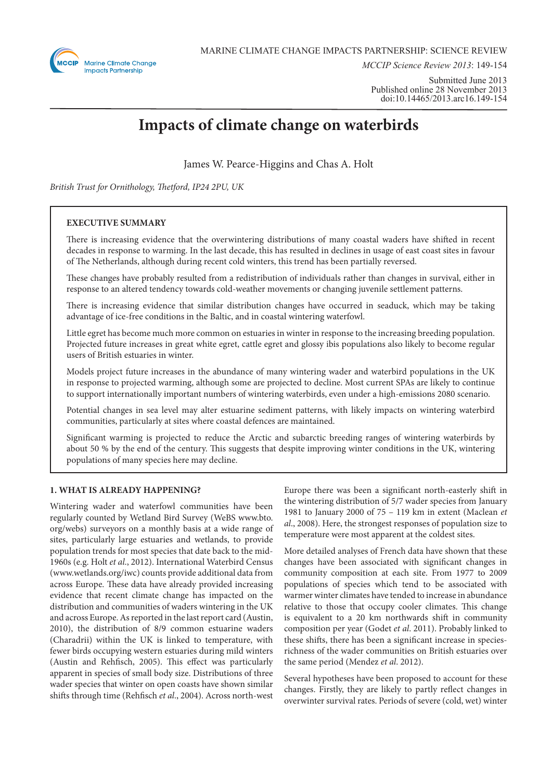

*MCCIP Science Review 2013*: 149-154

Submitted June 2013 Published online 28 November 2013 doi:10.14465/2013.arc16.149-154

# **Impacts of climate change on waterbirds**

James W. Pearce-Higgins and Chas A. Holt

*British Trust for Ornithology, Thetford, IP24 2PU, UK*

## **EXECUTIVE SUMMARY**

There is increasing evidence that the overwintering distributions of many coastal waders have shifted in recent decades in response to warming. In the last decade, this has resulted in declines in usage of east coast sites in favour of The Netherlands, although during recent cold winters, this trend has been partially reversed.

These changes have probably resulted from a redistribution of individuals rather than changes in survival, either in response to an altered tendency towards cold-weather movements or changing juvenile settlement patterns.

There is increasing evidence that similar distribution changes have occurred in seaduck, which may be taking advantage of ice-free conditions in the Baltic, and in coastal wintering waterfowl.

Little egret has become much more common on estuaries in winter in response to the increasing breeding population. Projected future increases in great white egret, cattle egret and glossy ibis populations also likely to become regular users of British estuaries in winter.

Models project future increases in the abundance of many wintering wader and waterbird populations in the UK in response to projected warming, although some are projected to decline. Most current SPAs are likely to continue to support internationally important numbers of wintering waterbirds, even under a high-emissions 2080 scenario.

Potential changes in sea level may alter estuarine sediment patterns, with likely impacts on wintering waterbird communities, particularly at sites where coastal defences are maintained.

Significant warming is projected to reduce the Arctic and subarctic breeding ranges of wintering waterbirds by about 50 % by the end of the century. This suggests that despite improving winter conditions in the UK, wintering populations of many species here may decline.

## **1. WHAT IS ALREADY HAPPENING?**

Wintering wader and waterfowl communities have been regularly counted by Wetland Bird Survey (WeBS www.bto. org/webs) surveyors on a monthly basis at a wide range of sites, particularly large estuaries and wetlands, to provide population trends for most species that date back to the mid-1960s (e.g. Holt *et al*., 2012). International Waterbird Census (www.wetlands.org/iwc) counts provide additional data from across Europe. These data have already provided increasing evidence that recent climate change has impacted on the distribution and communities of waders wintering in the UK and across Europe. As reported in the last report card (Austin, 2010), the distribution of 8/9 common estuarine waders (Charadrii) within the UK is linked to temperature, with fewer birds occupying western estuaries during mild winters (Austin and Rehfisch, 2005). This effect was particularly apparent in species of small body size. Distributions of three wader species that winter on open coasts have shown similar shifts through time (Rehfisch *et al*., 2004). Across north-west Europe there was been a significant north-easterly shift in the wintering distribution of 5/7 wader species from January 1981 to January 2000 of 75 – 119 km in extent (Maclean *et al*., 2008). Here, the strongest responses of population size to temperature were most apparent at the coldest sites.

More detailed analyses of French data have shown that these changes have been associated with significant changes in community composition at each site. From 1977 to 2009 populations of species which tend to be associated with warmer winter climates have tended to increase in abundance relative to those that occupy cooler climates. This change is equivalent to a 20 km northwards shift in community composition per year (Godet *et al*. 2011). Probably linked to these shifts, there has been a significant increase in speciesrichness of the wader communities on British estuaries over the same period (Mendez *et al*. 2012).

Several hypotheses have been proposed to account for these changes. Firstly, they are likely to partly reflect changes in overwinter survival rates. Periods of severe (cold, wet) winter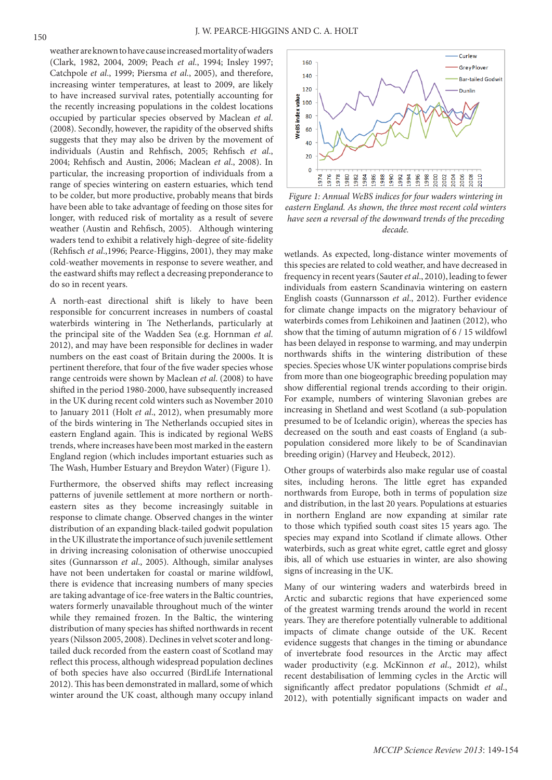weather are known to have cause increased mortality of waders (Clark, 1982, 2004, 2009; Peach *et al*., 1994; Insley 1997; Catchpole *et al*., 1999; Piersma *et al*., 2005), and therefore, increasing winter temperatures, at least to 2009, are likely to have increased survival rates, potentially accounting for the recently increasing populations in the coldest locations occupied by particular species observed by Maclean *et al*. (2008). Secondly, however, the rapidity of the observed shifts suggests that they may also be driven by the movement of individuals (Austin and Rehfisch, 2005; Rehfisch *et al*., 2004; Rehfisch and Austin, 2006; Maclean *et al*., 2008). In particular, the increasing proportion of individuals from a range of species wintering on eastern estuaries, which tend to be colder, but more productive, probably means that birds have been able to take advantage of feeding on those sites for longer, with reduced risk of mortality as a result of severe weather (Austin and Rehfisch, 2005). Although wintering waders tend to exhibit a relatively high-degree of site-fidelity (Rehfisch *et al*.,1996; Pearce-Higgins, 2001), they may make cold-weather movements in response to severe weather, and the eastward shifts may reflect a decreasing preponderance to do so in recent years.

A north-east directional shift is likely to have been responsible for concurrent increases in numbers of coastal waterbirds wintering in The Netherlands, particularly at the principal site of the Wadden Sea (e.g. Hornman *et al*. 2012), and may have been responsible for declines in wader numbers on the east coast of Britain during the 2000s. It is pertinent therefore, that four of the five wader species whose range centroids were shown by Maclean *et al*. (2008) to have shifted in the period 1980-2000, have subsequently increased in the UK during recent cold winters such as November 2010 to January 2011 (Holt *et al*., 2012), when presumably more of the birds wintering in The Netherlands occupied sites in eastern England again. This is indicated by regional WeBS trends, where increases have been most marked in the eastern England region (which includes important estuaries such as The Wash, Humber Estuary and Breydon Water) (Figure 1).

Furthermore, the observed shifts may reflect increasing patterns of juvenile settlement at more northern or northeastern sites as they become increasingly suitable in response to climate change. Observed changes in the winter distribution of an expanding black-tailed godwit population in the UK illustrate the importance of such juvenile settlement in driving increasing colonisation of otherwise unoccupied sites (Gunnarsson *et al*., 2005). Although, similar analyses have not been undertaken for coastal or marine wildfowl, there is evidence that increasing numbers of many species are taking advantage of ice-free waters in the Baltic countries, waters formerly unavailable throughout much of the winter while they remained frozen. In the Baltic, the wintering distribution of many species has shifted northwards in recent years (Nilsson 2005, 2008). Declines in velvet scoter and longtailed duck recorded from the eastern coast of Scotland may reflect this process, although widespread population declines of both species have also occurred (BirdLife International 2012). This has been demonstrated in mallard, some of which winter around the UK coast, although many occupy inland



*Figure 1: Annual WeBS indices for four waders wintering in eastern England. As shown, the three most recent cold winters have seen a reversal of the downward trends of the preceding decade.*

wetlands. As expected, long-distance winter movements of this species are related to cold weather, and have decreased in frequency in recent years (Sauter *et al*., 2010), leading to fewer individuals from eastern Scandinavia wintering on eastern English coasts (Gunnarsson *et al*., 2012). Further evidence for climate change impacts on the migratory behaviour of waterbirds comes from Lehikoinen and Jaatinen (2012), who show that the timing of autumn migration of 6 / 15 wildfowl has been delayed in response to warming, and may underpin northwards shifts in the wintering distribution of these species. Species whose UK winter populations comprise birds from more than one biogeographic breeding population may show differential regional trends according to their origin. For example, numbers of wintering Slavonian grebes are increasing in Shetland and west Scotland (a sub-population presumed to be of Icelandic origin), whereas the species has decreased on the south and east coasts of England (a subpopulation considered more likely to be of Scandinavian breeding origin) (Harvey and Heubeck, 2012).

Other groups of waterbirds also make regular use of coastal sites, including herons. The little egret has expanded northwards from Europe, both in terms of population size and distribution, in the last 20 years. Populations at estuaries in northern England are now expanding at similar rate to those which typified south coast sites 15 years ago. The species may expand into Scotland if climate allows. Other waterbirds, such as great white egret, cattle egret and glossy ibis, all of which use estuaries in winter, are also showing signs of increasing in the UK.

Many of our wintering waders and waterbirds breed in Arctic and subarctic regions that have experienced some of the greatest warming trends around the world in recent years. They are therefore potentially vulnerable to additional impacts of climate change outside of the UK. Recent evidence suggests that changes in the timing or abundance of invertebrate food resources in the Arctic may affect wader productivity (e.g. McKinnon *et al*., 2012), whilst recent destabilisation of lemming cycles in the Arctic will significantly affect predator populations (Schmidt *et al*., 2012), with potentially significant impacts on wader and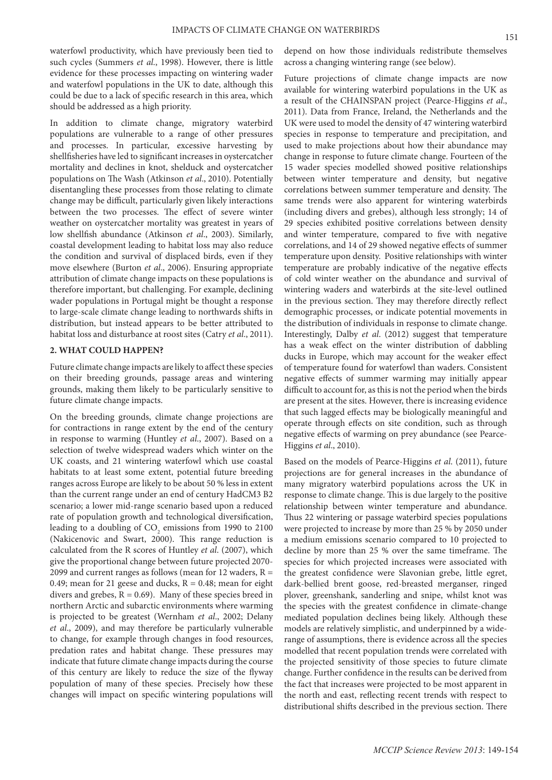waterfowl productivity, which have previously been tied to such cycles (Summers *et al*., 1998). However, there is little evidence for these processes impacting on wintering wader and waterfowl populations in the UK to date, although this could be due to a lack of specific research in this area, which should be addressed as a high priority.

In addition to climate change, migratory waterbird populations are vulnerable to a range of other pressures and processes. In particular, excessive harvesting by shellfisheries have led to significant increases in oystercatcher mortality and declines in knot, shelduck and oystercatcher populations on The Wash (Atkinson *et al*., 2010). Potentially disentangling these processes from those relating to climate change may be difficult, particularly given likely interactions between the two processes. The effect of severe winter weather on oystercatcher mortality was greatest in years of low shellfish abundance (Atkinson *et al*., 2003). Similarly, coastal development leading to habitat loss may also reduce the condition and survival of displaced birds, even if they move elsewhere (Burton *et al*., 2006). Ensuring appropriate attribution of climate change impacts on these populations is therefore important, but challenging. For example, declining wader populations in Portugal might be thought a response to large-scale climate change leading to northwards shifts in distribution, but instead appears to be better attributed to habitat loss and disturbance at roost sites (Catry *et al*., 2011).

#### **2. WHAT COULD HAPPEN?**

Future climate change impacts are likely to affect these species on their breeding grounds, passage areas and wintering grounds, making them likely to be particularly sensitive to future climate change impacts.

On the breeding grounds, climate change projections are for contractions in range extent by the end of the century in response to warming (Huntley *et al*., 2007). Based on a selection of twelve widespread waders which winter on the UK coasts, and 21 wintering waterfowl which use coastal habitats to at least some extent, potential future breeding ranges across Europe are likely to be about 50 % less in extent than the current range under an end of century HadCM3 B2 scenario; a lower mid-range scenario based upon a reduced rate of population growth and technological diversification, leading to a doubling of  $\mathrm{CO}_2$  emissions from 1990 to 2100 (Nakicenovic and Swart, 2000). This range reduction is calculated from the R scores of Huntley *et al*. (2007), which give the proportional change between future projected 2070- 2099 and current ranges as follows (mean for 12 waders,  $R =$ 0.49; mean for 21 geese and ducks,  $R = 0.48$ ; mean for eight divers and grebes,  $R = 0.69$ ). Many of these species breed in northern Arctic and subarctic environments where warming is projected to be greatest (Wernham *et al*., 2002; Delany *et al*., 2009), and may therefore be particularly vulnerable to change, for example through changes in food resources, predation rates and habitat change. These pressures may indicate that future climate change impacts during the course of this century are likely to reduce the size of the flyway population of many of these species. Precisely how these changes will impact on specific wintering populations will

depend on how those individuals redistribute themselves across a changing wintering range (see below).

Future projections of climate change impacts are now available for wintering waterbird populations in the UK as a result of the CHAINSPAN project (Pearce-Higgins *et al*., 2011). Data from France, Ireland, the Netherlands and the UK were used to model the density of 47 wintering waterbird species in response to temperature and precipitation, and used to make projections about how their abundance may change in response to future climate change. Fourteen of the 15 wader species modelled showed positive relationships between winter temperature and density, but negative correlations between summer temperature and density. The same trends were also apparent for wintering waterbirds (including divers and grebes), although less strongly; 14 of 29 species exhibited positive correlations between density and winter temperature, compared to five with negative correlations, and 14 of 29 showed negative effects of summer temperature upon density. Positive relationships with winter temperature are probably indicative of the negative effects of cold winter weather on the abundance and survival of wintering waders and waterbirds at the site-level outlined in the previous section. They may therefore directly reflect demographic processes, or indicate potential movements in the distribution of individuals in response to climate change. Interestingly, Dalby *et al*. (2012) suggest that temperature has a weak effect on the winter distribution of dabbling ducks in Europe, which may account for the weaker effect of temperature found for waterfowl than waders. Consistent negative effects of summer warming may initially appear difficult to account for, as this is not the period when the birds are present at the sites. However, there is increasing evidence that such lagged effects may be biologically meaningful and operate through effects on site condition, such as through negative effects of warming on prey abundance (see Pearce-Higgins *et al*., 2010).

Based on the models of Pearce-Higgins *et al*. (2011), future projections are for general increases in the abundance of many migratory waterbird populations across the UK in response to climate change. This is due largely to the positive relationship between winter temperature and abundance. Thus 22 wintering or passage waterbird species populations were projected to increase by more than 25 % by 2050 under a medium emissions scenario compared to 10 projected to decline by more than 25 % over the same timeframe. The species for which projected increases were associated with the greatest confidence were Slavonian grebe, little egret, dark-bellied brent goose, red-breasted merganser, ringed plover, greenshank, sanderling and snipe, whilst knot was the species with the greatest confidence in climate-change mediated population declines being likely. Although these models are relatively simplistic, and underpinned by a widerange of assumptions, there is evidence across all the species modelled that recent population trends were correlated with the projected sensitivity of those species to future climate change. Further confidence in the results can be derived from the fact that increases were projected to be most apparent in the north and east, reflecting recent trends with respect to distributional shifts described in the previous section. There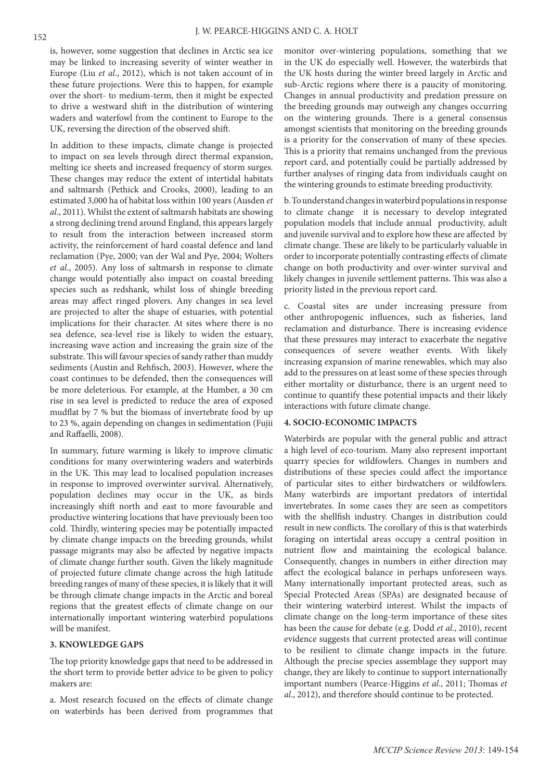is, however, some suggestion that declines in Arctic sea ice may be linked to increasing severity of winter weather in Europe (Liu *et al*., 2012), which is not taken account of in these future projections. Were this to happen, for example over the short- to medium-term, then it might be expected to drive a westward shift in the distribution of wintering waders and waterfowl from the continent to Europe to the UK, reversing the direction of the observed shift.

In addition to these impacts, climate change is projected to impact on sea levels through direct thermal expansion, melting ice sheets and increased frequency of storm surges. These changes may reduce the extent of intertidal habitats and saltmarsh (Pethick and Crooks, 2000), leading to an estimated 3,000 ha of habitat loss within 100 years (Ausden *et al*., 2011). Whilst the extent of saltmarsh habitats are showing a strong declining trend around England, this appears largely to result from the interaction between increased storm activity, the reinforcement of hard coastal defence and land reclamation (Pye, 2000; van der Wal and Pye, 2004; Wolters *et al*., 2005). Any loss of saltmarsh in response to climate change would potentially also impact on coastal breeding species such as redshank, whilst loss of shingle breeding areas may affect ringed plovers. Any changes in sea level are projected to alter the shape of estuaries, with potential implications for their character. At sites where there is no sea defence, sea-level rise is likely to widen the estuary, increasing wave action and increasing the grain size of the substrate. This will favour species of sandy rather than muddy sediments (Austin and Rehfisch, 2003). However, where the coast continues to be defended, then the consequences will be more deleterious. For example, at the Humber, a 30 cm rise in sea level is predicted to reduce the area of exposed mudflat by 7 % but the biomass of invertebrate food by up to 23 %, again depending on changes in sedimentation (Fujii and Raffaelli, 2008).

In summary, future warming is likely to improve climatic conditions for many overwintering waders and waterbirds in the UK. This may lead to localised population increases in response to improved overwinter survival. Alternatively, population declines may occur in the UK, as birds increasingly shift north and east to more favourable and productive wintering locations that have previously been too cold. Thirdly, wintering species may be potentially impacted by climate change impacts on the breeding grounds, whilst passage migrants may also be affected by negative impacts of climate change further south. Given the likely magnitude of projected future climate change across the high latitude breeding ranges of many of these species, it is likely that it will be through climate change impacts in the Arctic and boreal regions that the greatest effects of climate change on our internationally important wintering waterbird populations will be manifest.

## **3. KNOWLEDGE GAPS**

The top priority knowledge gaps that need to be addressed in the short term to provide better advice to be given to policy makers are:

a. Most research focused on the effects of climate change on waterbirds has been derived from programmes that

monitor over-wintering populations, something that we in the UK do especially well. However, the waterbirds that the UK hosts during the winter breed largely in Arctic and sub-Arctic regions where there is a paucity of monitoring. Changes in annual productivity and predation pressure on the breeding grounds may outweigh any changes occurring on the wintering grounds. There is a general consensus amongst scientists that monitoring on the breeding grounds is a priority for the conservation of many of these species. This is a priority that remains unchanged from the previous report card, and potentially could be partially addressed by further analyses of ringing data from individuals caught on the wintering grounds to estimate breeding productivity.

b. To understand changes in waterbird populations in response to climate change it is necessary to develop integrated population models that include annual productivity, adult and juvenile survival and to explore how these are affected by climate change. These are likely to be particularly valuable in order to incorporate potentially contrasting effects of climate change on both productivity and over-winter survival and likely changes in juvenile settlement patterns. This was also a priority listed in the previous report card.

c. Coastal sites are under increasing pressure from other anthropogenic influences, such as fisheries, land reclamation and disturbance. There is increasing evidence that these pressures may interact to exacerbate the negative consequences of severe weather events. With likely increasing expansion of marine renewables, which may also add to the pressures on at least some of these species through either mortality or disturbance, there is an urgent need to continue to quantify these potential impacts and their likely interactions with future climate change.

#### **4. SOCIO-ECONOMIC IMPACTS**

Waterbirds are popular with the general public and attract a high level of eco-tourism. Many also represent important quarry species for wildfowlers. Changes in numbers and distributions of these species could affect the importance of particular sites to either birdwatchers or wildfowlers. Many waterbirds are important predators of intertidal invertebrates. In some cases they are seen as competitors with the shellfish industry. Changes in distribution could result in new conflicts. The corollary of this is that waterbirds foraging on intertidal areas occupy a central position in nutrient flow and maintaining the ecological balance. Consequently, changes in numbers in either direction may affect the ecological balance in perhaps unforeseen ways. Many internationally important protected areas, such as Special Protected Areas (SPAs) are designated because of their wintering waterbird interest. Whilst the impacts of climate change on the long-term importance of these sites has been the cause for debate (e.g. Dodd *et al*., 2010), recent evidence suggests that current protected areas will continue to be resilient to climate change impacts in the future. Although the precise species assemblage they support may change, they are likely to continue to support internationally important numbers (Pearce-Higgins *et al*., 2011; Thomas *et al*., 2012), and therefore should continue to be protected.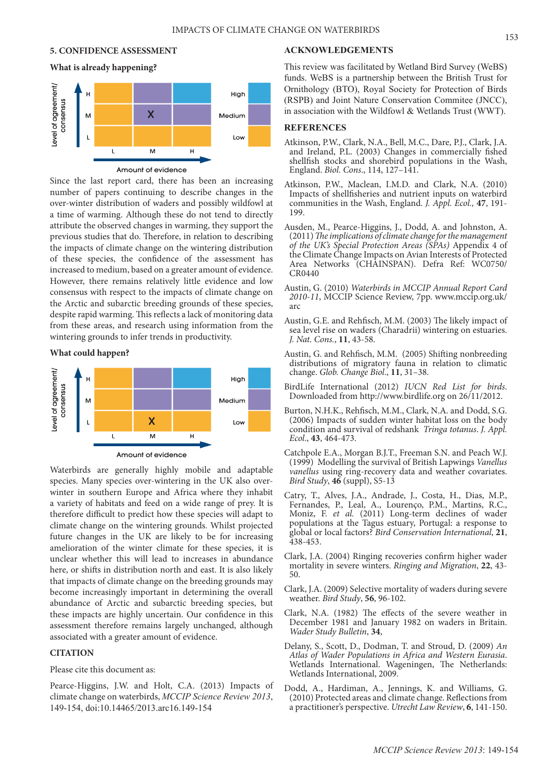### **5. CONFIDENCE ASSESSMENT**

### **What is already happening?**



Amount of evidence

Since the last report card, there has been an increasing number of papers continuing to describe changes in the over-winter distribution of waders and possibly wildfowl at a time of warming. Although these do not tend to directly attribute the observed changes in warming, they support the previous studies that do. Therefore, in relation to describing the impacts of climate change on the wintering distribution of these species, the confidence of the assessment has increased to medium, based on a greater amount of evidence. However, there remains relatively little evidence and low consensus with respect to the impacts of climate change on the Arctic and subarctic breeding grounds of these species, despite rapid warming. This reflects a lack of monitoring data from these areas, and research using information from the wintering grounds to infer trends in productivity.

#### **What could happen?**



Waterbirds are generally highly mobile and adaptable species. Many species over-wintering in the UK also overwinter in southern Europe and Africa where they inhabit a variety of habitats and feed on a wide range of prey. It is therefore difficult to predict how these species will adapt to climate change on the wintering grounds. Whilst projected future changes in the UK are likely to be for increasing amelioration of the winter climate for these species, it is unclear whether this will lead to increases in abundance here, or shifts in distribution north and east. It is also likely that impacts of climate change on the breeding grounds may become increasingly important in determining the overall abundance of Arctic and subarctic breeding species, but these impacts are highly uncertain. Our confidence in this assessment therefore remains largely unchanged, although associated with a greater amount of evidence.

## **CITATION**

### Please cite this document as:

Pearce-Higgins, J.W. and Holt, C.A. (2013) Impacts of climate change on waterbirds, *MCCIP Science Review 2013*, 149-154, doi:10.14465/2013.arc16.149-154

## **ACKNOWLEDGEMENTS**

This review was facilitated by Wetland Bird Survey (WeBS) funds. WeBS is a partnership between the British Trust for Ornithology (BTO), Royal Society for Protection of Birds (RSPB) and Joint Nature Conservation Commitee (JNCC), in association with the Wildfowl & Wetlands Trust (WWT).

## **REFERENCES**

- Atkinson, P.W., Clark, N.A., Bell, M.C., Dare, P.J., Clark, J.A. and Ireland, P.L. (2003) Changes in commercially fished shellfish stocks and shorebird populations in the Wash, England. *Biol. Cons*., 114, 127–141.
- Atkinson, P.W., Maclean, I.M.D. and Clark, N.A. (2010) Impacts of shellfisheries and nutrient inputs on waterbird communities in the Wash, England. *J. Appl. Ecol.,* **47**, 191- 199.
- Ausden, M., Pearce-Higgins, J., Dodd, A. and Johnston, A. (2011) *The implications of climate change for the management of the UK's Special Protection Areas (SPAs)* Appendix 4 of the Climate Change Impacts on Avian Interests of Protected Area Networks (CHAINSPAN). Defra Ref: WC0750/ CR0440
- Austin, G. (2010) *Waterbirds in MCCIP Annual Report Card 2010-11*, MCCIP Science Review, 7pp. www.mccip.org.uk/ arc
- Austin, G.E. and Rehfisch, M.M. (2003) The likely impact of sea level rise on waders (Charadrii) wintering on estuaries. *J. Nat. Cons.*, **11**, 43-58.
- Austin, G. and Rehfisch, M.M. (2005) Shifting nonbreeding distributions of migratory fauna in relation to climatic change. *Glob. Change Biol*., **11**, 31–38.
- BirdLife International (2012) *IUCN Red List for birds*. Downloaded from http://www.birdlife.org on 26/11/2012.
- Burton, N.H.K., Rehfisch, M.M., Clark, N.A. and Dodd, S.G. (2006) Impacts of sudden winter habitat loss on the body condition and survival of redshank *Tringa totanus*. *J. Appl. Ecol*., **43**, 464-473.
- Catchpole E.A., Morgan B.J.T., Freeman S.N. and Peach W.J. (1999) Modelling the survival of British Lapwings *Vanellus vanellus* using ring-recovery data and weather covariates. *Bird Study*, **46** (suppl), S5-13
- Catry, T., Alves, J.A., Andrade, J., Costa, H., Dias, M.P., Fernandes, P., Leal, A., Lourenço, P.M., Martins, R.C., Moniz, F. *et al.* (2011) Long-term declines of wader populations at the Tagus estuary, Portugal: a response to global or local factors? *Bird Conservation International*, **21**, 438-453.
- Clark, J.A. (2004) Ringing recoveries confirm higher wader mortality in severe winters. *Ringing and Migration*, **22**, 43- 50.
- Clark, J.A. (2009) Selective mortality of waders during severe weather. *Bird Study*, **56**, 96-102.
- Clark, N.A. (1982) The effects of the severe weather in December 1981 and January 1982 on waders in Britain. *Wader Study Bulletin*, **34**,
- Delany, S., Scott, D., Dodman, T. and Stroud, D. (2009) *An Atlas of Wader Populations in Africa and Western Eurasia*. Wetlands International. Wageningen, The Netherlands: Wetlands International, 2009.
- Dodd, A., Hardiman, A., Jennings, K. and Williams, G. (2010) Protected areas and climate change. Reflections from a practitioner's perspective. *Utrecht Law Review*, **6**, 141-150.